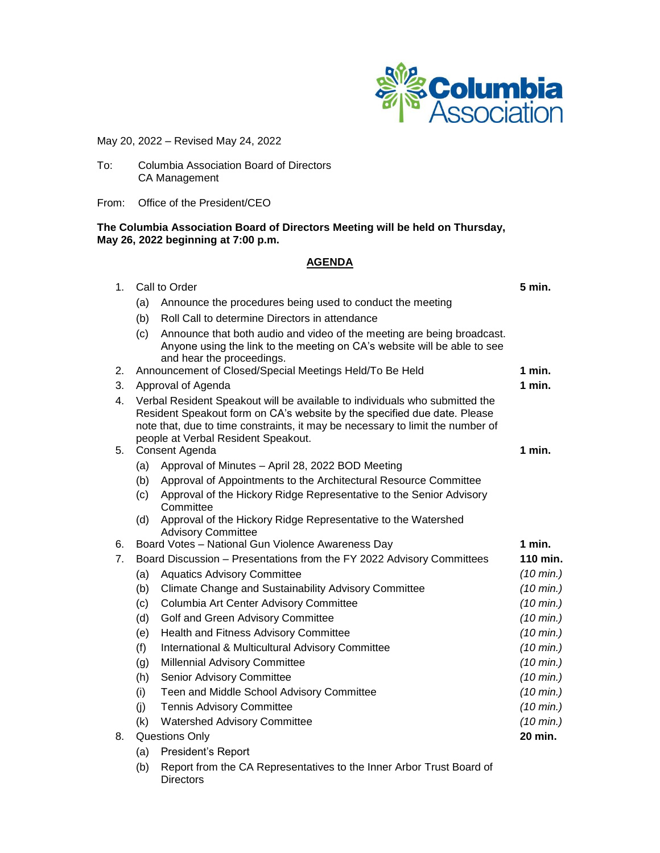

May 20, 2022 – Revised May 24, 2022

- To: Columbia Association Board of Directors CA Management
- From: Office of the President/CEO

### **The Columbia Association Board of Directors Meeting will be held on Thursday, May 26, 2022 beginning at 7:00 p.m.**

## **AGENDA**

| 1 <sub>1</sub> | Call to Order                                                         |                                                                                                                                                                                                                                                                                  | 5 min.              |
|----------------|-----------------------------------------------------------------------|----------------------------------------------------------------------------------------------------------------------------------------------------------------------------------------------------------------------------------------------------------------------------------|---------------------|
|                | (a)                                                                   | Announce the procedures being used to conduct the meeting                                                                                                                                                                                                                        |                     |
|                | (b)                                                                   | Roll Call to determine Directors in attendance                                                                                                                                                                                                                                   |                     |
|                | (c)                                                                   | Announce that both audio and video of the meeting are being broadcast.<br>Anyone using the link to the meeting on CA's website will be able to see<br>and hear the proceedings.                                                                                                  |                     |
| 2.             |                                                                       | Announcement of Closed/Special Meetings Held/To Be Held                                                                                                                                                                                                                          | 1 min.              |
| 3.             |                                                                       | Approval of Agenda                                                                                                                                                                                                                                                               | $1$ min.            |
| 4.             |                                                                       | Verbal Resident Speakout will be available to individuals who submitted the<br>Resident Speakout form on CA's website by the specified due date. Please<br>note that, due to time constraints, it may be necessary to limit the number of<br>people at Verbal Resident Speakout. |                     |
| 5.             | Consent Agenda                                                        |                                                                                                                                                                                                                                                                                  |                     |
|                | (a)                                                                   | Approval of Minutes - April 28, 2022 BOD Meeting                                                                                                                                                                                                                                 |                     |
|                | (b)                                                                   | Approval of Appointments to the Architectural Resource Committee                                                                                                                                                                                                                 |                     |
|                | (c)                                                                   | Approval of the Hickory Ridge Representative to the Senior Advisory<br>Committee                                                                                                                                                                                                 |                     |
|                | (d)                                                                   | Approval of the Hickory Ridge Representative to the Watershed<br><b>Advisory Committee</b>                                                                                                                                                                                       |                     |
| 6.             |                                                                       | Board Votes - National Gun Violence Awareness Day                                                                                                                                                                                                                                | $1$ min.            |
| 7 <sub>1</sub> | Board Discussion - Presentations from the FY 2022 Advisory Committees |                                                                                                                                                                                                                                                                                  | 110 min.            |
|                | (a)                                                                   | <b>Aquatics Advisory Committee</b>                                                                                                                                                                                                                                               | $(10 \text{ min.})$ |
|                | (b)                                                                   | Climate Change and Sustainability Advisory Committee                                                                                                                                                                                                                             | $(10 \text{ min.})$ |
|                | (c)                                                                   | Columbia Art Center Advisory Committee                                                                                                                                                                                                                                           | $(10 \text{ min.})$ |
|                | (d)                                                                   | Golf and Green Advisory Committee                                                                                                                                                                                                                                                | $(10 \text{ min.})$ |
|                | (e)                                                                   | Health and Fitness Advisory Committee                                                                                                                                                                                                                                            | $(10 \text{ min.})$ |
|                | (f)                                                                   | International & Multicultural Advisory Committee                                                                                                                                                                                                                                 | $(10 \text{ min.})$ |
|                | (g)                                                                   | <b>Millennial Advisory Committee</b>                                                                                                                                                                                                                                             | $(10 \text{ min.})$ |
|                | (h)                                                                   | Senior Advisory Committee                                                                                                                                                                                                                                                        | $(10 \text{ min.})$ |
|                | (i)                                                                   | Teen and Middle School Advisory Committee                                                                                                                                                                                                                                        | $(10 \text{ min.})$ |
|                | (i)                                                                   | <b>Tennis Advisory Committee</b>                                                                                                                                                                                                                                                 | $(10 \text{ min.})$ |
|                | (k)                                                                   | <b>Watershed Advisory Committee</b>                                                                                                                                                                                                                                              | $(10 \text{ min.})$ |
| 8.             |                                                                       | <b>Questions Only</b>                                                                                                                                                                                                                                                            | 20 min.             |

- (a) President's Report
- (b) Report from the CA Representatives to the Inner Arbor Trust Board of **Directors**